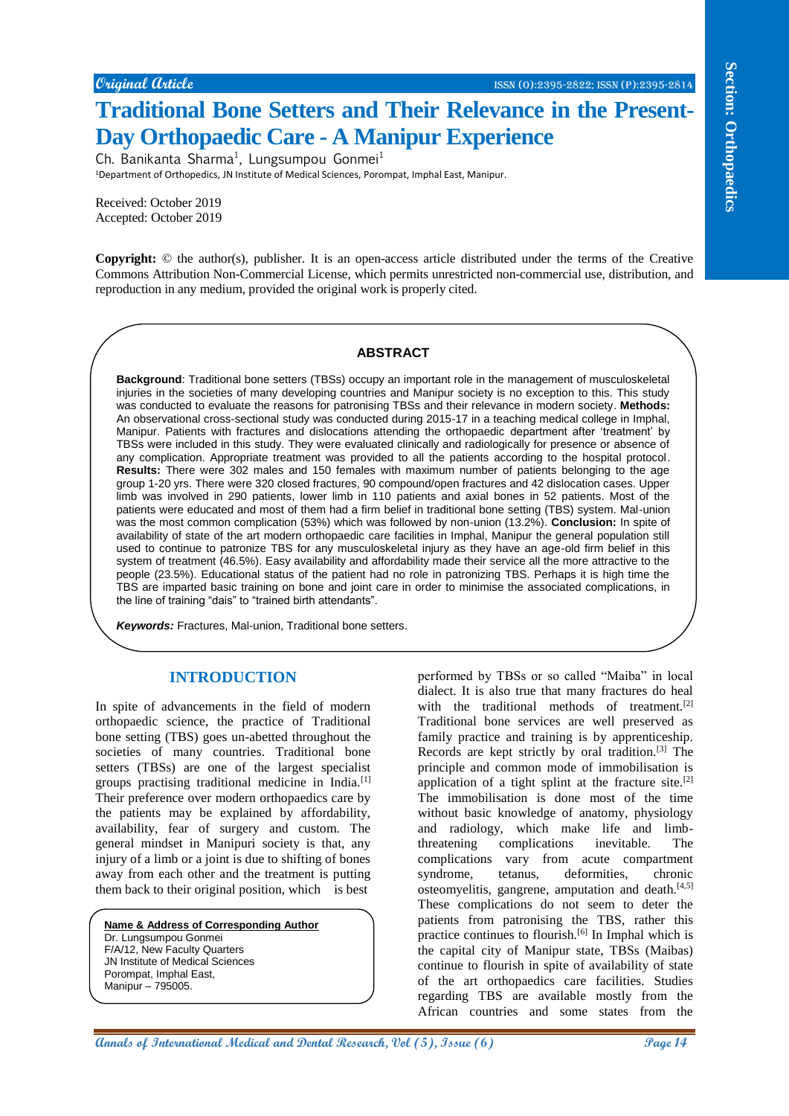# **Traditional Bone Setters and Their Relevance in the Present-Day Orthopaedic Care - A Manipur Experience**

Ch. Banikanta Sharma<sup>1</sup>, Lungsumpou Gonmei<sup>1</sup> <sup>1</sup>Department of Orthopedics, JN Institute of Medical Sciences, Porompat, Imphal East, Manipur.

Received: October 2019 Accepted: October 2019

**Copyright:** © the author(s), publisher. It is an open-access article distributed under the terms of the Creative Commons Attribution Non-Commercial License, which permits unrestricted non-commercial use, distribution, and reproduction in any medium, provided the original work is properly cited.

#### **ABSTRACT**

**Contained Control 2.**<br> **Annallin Dian Control 2. Annual Research and Their Research and The Pressent and The Pressent and The Pressent and The Pressent and The Pressent and The Pressent and Sections and Sections are th Background**: Traditional bone setters (TBSs) occupy an important role in the management of musculoskeletal injuries in the societies of many developing countries and Manipur society is no exception to this. This study was conducted to evaluate the reasons for patronising TBSs and their relevance in modern society. **Methods:** An observational cross-sectional study was conducted during 2015-17 in a teaching medical college in Imphal, Manipur. Patients with fractures and dislocations attending the orthopaedic department after 'treatment' by TBSs were included in this study. They were evaluated clinically and radiologically for presence or absence of any complication. Appropriate treatment was provided to all the patients according to the hospital protocol. **Results:** There were 302 males and 150 females with maximum number of patients belonging to the age group 1-20 yrs. There were 320 closed fractures, 90 compound/open fractures and 42 dislocation cases. Upper limb was involved in 290 patients, lower limb in 110 patients and axial bones in 52 patients. Most of the patients were educated and most of them had a firm belief in traditional bone setting (TBS) system. Mal-union was the most common complication (53%) which was followed by non-union (13.2%). **Conclusion:** In spite of availability of state of the art modern orthopaedic care facilities in Imphal, Manipur the general population still used to continue to patronize TBS for any musculoskeletal injury as they have an age-old firm belief in this system of treatment (46.5%). Easy availability and affordability made their service all the more attractive to the people (23.5%). Educational status of the patient had no role in patronizing TBS. Perhaps it is high time the TBS are imparted basic training on bone and joint care in order to minimise the associated complications, in the line of training "dais" to "trained birth attendants".

**Keywords:** Fractures, Mal-union, Traditional bone setters.

## **INTRODUCTION**

In spite of advancements in the field of modern orthopaedic science, the practice of Traditional bone setting (TBS) goes un-abetted throughout the societies of many countries. Traditional bone setters (TBSs) are one of the largest specialist groups practising traditional medicine in India.[1] Their preference over modern orthopaedics care by the patients may be explained by affordability, availability, fear of surgery and custom. The general mindset in Manipuri society is that, any injury of a limb or a joint is due to shifting of bones away from each other and the treatment is putting them back to their original position, which is best

**Name & Address of Corresponding Author**

Dr. Lungsumpou Gonmei F/A/12, New Faculty Quarters JN Institute of Medical Sciences Porompat, Imphal East, Manipur – 795005.

performed by TBSs or so called "Maiba" in local dialect. It is also true that many fractures do heal with the traditional methods of treatment. $[2]$ Traditional bone services are well preserved as family practice and training is by apprenticeship. Records are kept strictly by oral tradition.[3] The principle and common mode of immobilisation is application of a tight splint at the fracture site.<sup>[2]</sup> The immobilisation is done most of the time without basic knowledge of anatomy, physiology and radiology, which make life and limbthreatening complications inevitable. The complications vary from acute compartment syndrome, tetanus, deformities, chronic osteomyelitis, gangrene, amputation and death. $[4,5]$ These complications do not seem to deter the patients from patronising the TBS, rather this practice continues to flourish.[6] In Imphal which is the capital city of Manipur state, TBSs (Maibas) continue to flourish in spite of availability of state of the art orthopaedics care facilities. Studies regarding TBS are available mostly from the African countries and some states from the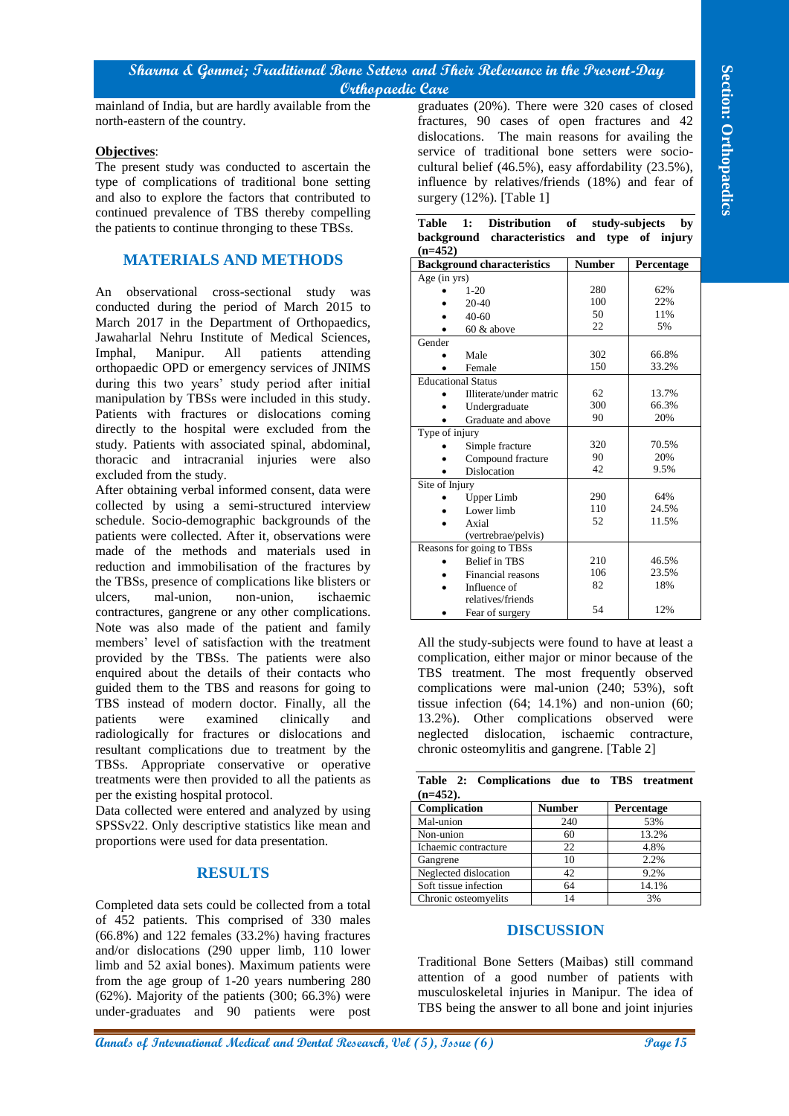## **Sharma & Gonmei; Traditional Bone Setters and Their Relevance in the Present-Day Orthopaedic Care**

#### **Objectives**:

## **MATERIALS AND METHODS**

#### **RESULTS**

|                                                                                                                                                     |  | Table 1: Distribution of study-subjects by    |              |  |              |  |
|-----------------------------------------------------------------------------------------------------------------------------------------------------|--|-----------------------------------------------|--------------|--|--------------|--|
|                                                                                                                                                     |  | background characteristics and type of injury |              |  |              |  |
| $(n=452)$                                                                                                                                           |  |                                               |              |  |              |  |
| $\mathbf{r}$ , $\mathbf{r}$ , $\mathbf{r}$ , $\mathbf{r}$ , $\mathbf{r}$ , $\mathbf{r}$ , $\mathbf{r}$ , $\mathbf{r}$ , $\mathbf{r}$ , $\mathbf{r}$ |  |                                               | $\mathbf{r}$ |  | $\mathbf{r}$ |  |

|                                                                                       | Orthopaedic Care                                                                                |                   |                      |  |  |
|---------------------------------------------------------------------------------------|-------------------------------------------------------------------------------------------------|-------------------|----------------------|--|--|
| mainland of India, but are hardly available from the<br>north-eastern of the country. | graduates (20%). There were 320 cases of closed<br>fractures, 90 cases of open fractures and 42 |                   |                      |  |  |
|                                                                                       | dislocations. The main reasons for availing the                                                 |                   |                      |  |  |
| Objectives:                                                                           | service of traditional bone setters were socio-                                                 |                   |                      |  |  |
| The present study was conducted to ascertain the                                      | cultural belief (46.5%), easy affordability (23.5%),                                            |                   |                      |  |  |
| type of complications of traditional bone setting                                     | influence by relatives/friends (18%) and fear of                                                |                   |                      |  |  |
| and also to explore the factors that contributed to                                   | surgery $(12\%)$ . [Table 1]                                                                    |                   |                      |  |  |
| continued prevalence of TBS thereby compelling                                        |                                                                                                 |                   |                      |  |  |
| the patients to continue thronging to these TBSs.                                     | <b>Table</b><br>1:<br><b>Distribution</b>                                                       | of                | study-subjects<br>by |  |  |
| <b>MATERIALS AND METHODS</b>                                                          | background characteristics and type of injury<br>$(n=452)$                                      |                   |                      |  |  |
|                                                                                       | <b>Background characteristics</b><br>Age $(in yrs)$                                             | <b>Number</b>     | Percentage           |  |  |
| An observational cross-sectional study<br>was                                         | $1 - 20$                                                                                        | 280               | 62%                  |  |  |
| conducted during the period of March 2015 to                                          | 20-40                                                                                           | 100               | 22%                  |  |  |
| March 2017 in the Department of Orthopaedics,                                         | $40 - 60$                                                                                       | 50                | 11%                  |  |  |
| Jawaharlal Nehru Institute of Medical Sciences,                                       | 60 & above                                                                                      | 22                | 5%                   |  |  |
|                                                                                       | Gender                                                                                          |                   |                      |  |  |
| Imphal,<br>Manipur.<br>All<br>patients<br>attending                                   | Male<br>$\bullet$                                                                               | 302<br>150        | 66.8%<br>33.2%       |  |  |
| orthopaedic OPD or emergency services of JNIMS                                        | Female<br>$\bullet$<br><b>Educational Status</b>                                                |                   |                      |  |  |
| during this two years' study period after initial                                     | Illiterate/under matric                                                                         | 62                | 13.7%                |  |  |
| manipulation by TBSs were included in this study.                                     | Undergraduate<br>$\bullet$                                                                      | 300               | 66.3%                |  |  |
| Patients with fractures or dislocations coming                                        | Graduate and above<br>$\bullet$                                                                 | 90                | 20%                  |  |  |
| directly to the hospital were excluded from the                                       | Type of injury                                                                                  |                   |                      |  |  |
| study. Patients with associated spinal, abdominal,                                    | Simple fracture                                                                                 | 320               | 70.5%                |  |  |
| thoracic and intracranial injuries were<br>also                                       | Compound fracture<br>$\bullet$                                                                  | 90                | 20%                  |  |  |
| excluded from the study.                                                              | Dislocation                                                                                     | 42                | 9.5%                 |  |  |
| After obtaining verbal informed consent, data were                                    | Site of Injury                                                                                  | 290               | 64%                  |  |  |
| collected by using a semi-structured interview                                        | Upper Limb<br>Lower limb<br>$\bullet$                                                           | 110               | 24.5%                |  |  |
| schedule. Socio-demographic backgrounds of the                                        | Axial<br>$\bullet$                                                                              | 52                | 11.5%                |  |  |
| patients were collected. After it, observations were                                  | (vertrebrae/pelvis)                                                                             |                   |                      |  |  |
| made of the methods and materials used in                                             | Reasons for going to TBSs                                                                       |                   |                      |  |  |
| reduction and immobilisation of the fractures by                                      | Belief in TBS                                                                                   | 210               | 46.5%                |  |  |
| the TBSs, presence of complications like blisters or                                  | Financial reasons                                                                               | 106               | 23.5%                |  |  |
| mal-union,<br>ulcers,<br>non-union,<br>ischaemic                                      | Influence of                                                                                    | 82                | 18%                  |  |  |
| contractures, gangrene or any other complications.                                    | relatives/friends<br>Fear of surgery<br>$\bullet$                                               | 54                | 12%                  |  |  |
| Note was also made of the patient and family                                          |                                                                                                 |                   |                      |  |  |
|                                                                                       | All the study-subjects were found to have at least a                                            |                   |                      |  |  |
| members' level of satisfaction with the treatment                                     |                                                                                                 |                   |                      |  |  |
| provided by the TBSs. The patients were also                                          | complication, either major or minor because of the                                              |                   |                      |  |  |
| enquired about the details of their contacts who                                      | TBS treatment. The most frequently observed                                                     |                   |                      |  |  |
| guided them to the TBS and reasons for going to                                       | complications were mal-union (240; 53%), soft                                                   |                   |                      |  |  |
| TBS instead of modern doctor. Finally, all the                                        | tissue infection $(64; 14.1\%)$ and non-union $(60;$                                            |                   |                      |  |  |
| patients<br>examined<br>clinically<br>were<br>and                                     | 13.2%). Other complications observed were                                                       |                   |                      |  |  |
| radiologically for fractures or dislocations and                                      | neglected dislocation, ischaemic contracture,                                                   |                   |                      |  |  |
| resultant complications due to treatment by the                                       | chronic osteomylitis and gangrene. [Table 2]                                                    |                   |                      |  |  |
| TBSs. Appropriate conservative or operative                                           |                                                                                                 |                   |                      |  |  |
|                                                                                       |                                                                                                 |                   |                      |  |  |
| treatments were then provided to all the patients as                                  | Table 2: Complications due to TBS treatment                                                     |                   |                      |  |  |
| per the existing hospital protocol.                                                   | $(n=452)$ .                                                                                     |                   |                      |  |  |
| Data collected were entered and analyzed by using                                     | Complication                                                                                    | <b>Number</b>     | Percentage           |  |  |
| SPSSv22. Only descriptive statistics like mean and                                    | Mal-union                                                                                       | 240               | 53%                  |  |  |
| proportions were used for data presentation.                                          | Non-union                                                                                       | 60                | 13.2%                |  |  |
|                                                                                       | Ichaemic contracture                                                                            | 22                | 4.8%                 |  |  |
|                                                                                       | Gangrene                                                                                        | 10                | 2.2%                 |  |  |
| <b>RESULTS</b>                                                                        | Neglected dislocation                                                                           | 42<br>64          | 9.2%<br>14.1%        |  |  |
|                                                                                       | Soft tissue infection<br>Chronic osteomyelits                                                   | 14                | 3%                   |  |  |
| Completed data sets could be collected from a total                                   |                                                                                                 |                   |                      |  |  |
| of 452 patients. This comprised of 330 males                                          |                                                                                                 |                   |                      |  |  |
| (66.8%) and 122 females (33.2%) having fractures                                      |                                                                                                 | <b>DISCUSSION</b> |                      |  |  |
| and/or dislocations (290 upper limb, 110 lower                                        |                                                                                                 |                   |                      |  |  |
| limb and 52 axial bones). Maximum patients were                                       | Traditional Bone Setters (Maibas) still command                                                 |                   |                      |  |  |
| from the age group of 1-20 years numbering 280                                        | attention of a good number of patients with                                                     |                   |                      |  |  |
| (62%). Majority of the patients (300; 66.3%) were                                     | musculoskeletal injuries in Manipur. The idea of                                                |                   |                      |  |  |
| under-graduates and 90 patients were post                                             | TBS being the answer to all bone and joint injuries                                             |                   |                      |  |  |

| Table 2: Complications due to TBS treatment |               |                   |  |  |  |  |  |  |
|---------------------------------------------|---------------|-------------------|--|--|--|--|--|--|
| $(n=452)$ .                                 |               |                   |  |  |  |  |  |  |
| Complication                                | <b>Number</b> | <b>Percentage</b> |  |  |  |  |  |  |
| Mal-union                                   | 240           | 53%               |  |  |  |  |  |  |
| Non-union                                   | 60            | 13.2%             |  |  |  |  |  |  |
| Ichaemic contracture                        | 22            | 4.8%              |  |  |  |  |  |  |
| Gangrene                                    | 10            | 2.2%              |  |  |  |  |  |  |
| Neglected dislocation                       | 42            | 9.2%              |  |  |  |  |  |  |
| Soft tissue infection                       | 64            | 14.1%             |  |  |  |  |  |  |
| Chronic osteomyelits                        | 14            | 3%                |  |  |  |  |  |  |

#### **DISCUSSION**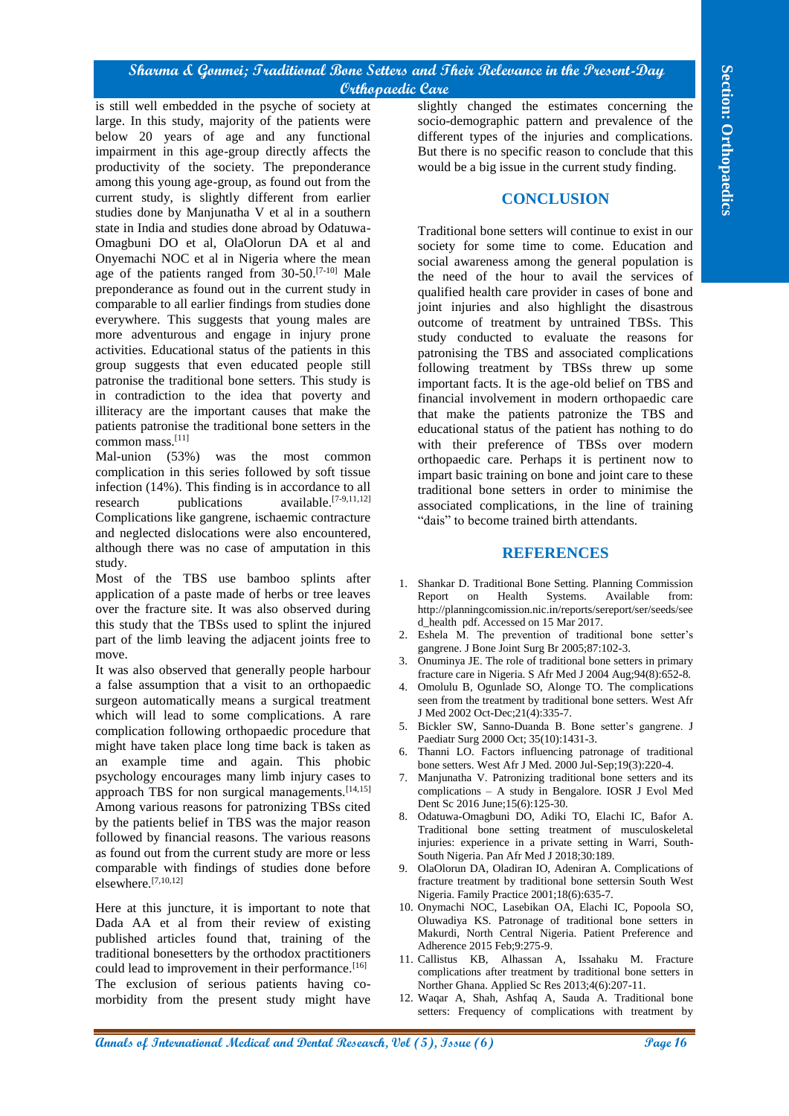## **Sharma & Gonmei; Traditional Bone Setters and Their Relevance in the Present-Day Orthopaedic Care**

An international of **Page 16 Conseil in the section and Section and Section and Section 2013**<br> **And Conseil in the section and Section 2013 Conseil in the section and Section 2013 Conseil in the section and Section** is still well embedded in the psyche of society at large. In this study, majority of the patients were below 20 years of age and any functional impairment in this age-group directly affects the productivity of the society. The preponderance among this young age-group, as found out from the current study, is slightly different from earlier studies done by Manjunatha V et al in a southern state in India and studies done abroad by Odatuwa-Omagbuni DO et al, OlaOlorun DA et al and Onyemachi NOC et al in Nigeria where the mean age of the patients ranged from  $30-50$ .<sup>[7-10]</sup> Male preponderance as found out in the current study in comparable to all earlier findings from studies done everywhere. This suggests that young males are more adventurous and engage in injury prone activities. Educational status of the patients in this group suggests that even educated people still patronise the traditional bone setters. This study is in contradiction to the idea that poverty and illiteracy are the important causes that make the patients patronise the traditional bone setters in the common mass.[11]

Mal-union (53%) was the most common complication in this series followed by soft tissue infection (14%). This finding is in accordance to all research publications available.<sup>[7-9,11,12]</sup> Complications like gangrene, ischaemic contracture and neglected dislocations were also encountered, although there was no case of amputation in this study.

Most of the TBS use bamboo splints after application of a paste made of herbs or tree leaves over the fracture site. It was also observed during this study that the TBSs used to splint the injured part of the limb leaving the adjacent joints free to move.

It was also observed that generally people harbour a false assumption that a visit to an orthopaedic surgeon automatically means a surgical treatment which will lead to some complications. A rare complication following orthopaedic procedure that might have taken place long time back is taken as an example time and again. This phobic psychology encourages many limb injury cases to approach TBS for non surgical managements.  $[14,15]$ Among various reasons for patronizing TBSs cited by the patients belief in TBS was the major reason followed by financial reasons. The various reasons as found out from the current study are more or less comparable with findings of studies done before elsewhere.[7,10,12]

Here at this juncture, it is important to note that Dada AA et al from their review of existing published articles found that, training of the traditional bonesetters by the orthodox practitioners could lead to improvement in their performance.<sup>[16]</sup> The exclusion of serious patients having comorbidity from the present study might have slightly changed the estimates concerning the socio-demographic pattern and prevalence of the different types of the injuries and complications. But there is no specific reason to conclude that this would be a big issue in the current study finding.

## **CONCLUSION**

Traditional bone setters will continue to exist in our society for some time to come. Education and social awareness among the general population is the need of the hour to avail the services of qualified health care provider in cases of bone and joint injuries and also highlight the disastrous outcome of treatment by untrained TBSs. This study conducted to evaluate the reasons for patronising the TBS and associated complications following treatment by TBSs threw up some important facts. It is the age-old belief on TBS and financial involvement in modern orthopaedic care that make the patients patronize the TBS and educational status of the patient has nothing to do with their preference of TBSs over modern orthopaedic care. Perhaps it is pertinent now to impart basic training on bone and joint care to these traditional bone setters in order to minimise the associated complications, in the line of training "dais" to become trained birth attendants.

#### **REFERENCES**

- 1. Shankar D. Traditional Bone Setting. Planning Commission Report on Health Systems. Available from: http://planningcomission.nic.in/reports/sereport/ser/seeds/see d\_health pdf. Accessed on 15 Mar 2017.
- 2. Eshela M. The prevention of traditional bone setter's gangrene. J Bone Joint Surg Br 2005;87:102-3.
- 3. Onuminya JE. The role of traditional bone setters in primary fracture care in Nigeria. S Afr Med J 2004 Aug;94(8):652-8.
- 4. Omolulu B, Ogunlade SO, Alonge TO. The complications seen from the treatment by traditional bone setters. West Afr J Med 2002 Oct-Dec;21(4):335-7.
- 5. Bickler SW, Sanno-Duanda B. Bone setter's gangrene. J Paediatr Surg 2000 Oct; 35(10):1431-3.
- 6. Thanni LO. Factors influencing patronage of traditional bone setters. West Afr J Med. 2000 Jul-Sep;19(3):220-4.
- 7. Manjunatha V. Patronizing traditional bone setters and its complications – A study in Bengalore. IOSR J Evol Med Dent Sc 2016 June;15(6):125-30.
- 8. Odatuwa-Omagbuni DO, Adiki TO, Elachi IC, Bafor A. Traditional bone setting treatment of musculoskeletal injuries: experience in a private setting in Warri, South-South Nigeria. Pan Afr Med J 2018;30:189.
- 9. OlaOlorun DA, Oladiran IO, Adeniran A. Complications of fracture treatment by traditional bone settersin South West Nigeria. Family Practice 2001;18(6):635-7.
- 10. Onymachi NOC, Lasebikan OA, Elachi IC, Popoola SO, Oluwadiya KS. Patronage of traditional bone setters in Makurdi, North Central Nigeria. Patient Preference and Adherence 2015 Feb;9:275-9.
- 11. Callistus KB, Alhassan A, Issahaku M. Fracture complications after treatment by traditional bone setters in Norther Ghana. Applied Sc Res 2013;4(6):207-11.
- 12. Waqar A, Shah, Ashfaq A, Sauda A. Traditional bone setters: Frequency of complications with treatment by